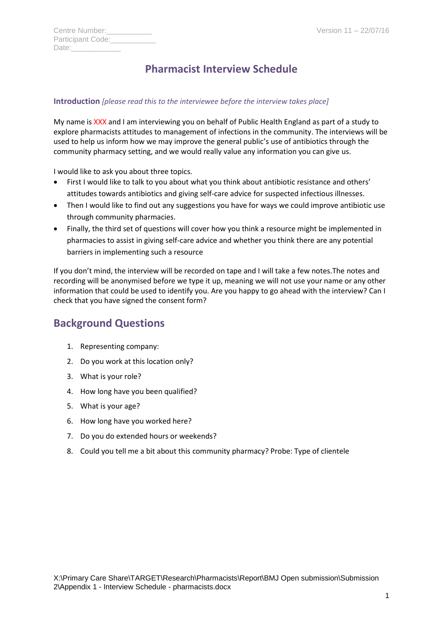| Centre Number:    |  |
|-------------------|--|
| Participant Code: |  |
| Date:             |  |

# **Pharmacist Interview Schedule**

#### **Introduction** *[please read this to the interviewee before the interview takes place]*

My name is XXX and I am interviewing you on behalf of Public Health England as part of a study to explore pharmacists attitudes to management of infections in the community. The interviews will be used to help us inform how we may improve the general public's use of antibiotics through the community pharmacy setting, and we would really value any information you can give us.

I would like to ask you about three topics.

- First I would like to talk to you about what you think about antibiotic resistance and others' attitudes towards antibiotics and giving self-care advice for suspected infectious illnesses.
- Then I would like to find out any suggestions you have for ways we could improve antibiotic use through community pharmacies.
- Finally, the third set of questions will cover how you think a resource might be implemented in pharmacies to assist in giving self-care advice and whether you think there are any potential barriers in implementing such a resource

If you don't mind, the interview will be recorded on tape and I will take a few notes.The notes and recording will be anonymised before we type it up, meaning we will not use your name or any other information that could be used to identify you. Are you happy to go ahead with the interview? Can I check that you have signed the consent form?

### **Background Questions**

- 1. Representing company:
- 2. Do you work at this location only?
- 3. What is your role?
- 4. How long have you been qualified?
- 5. What is your age?
- 6. How long have you worked here?
- 7. Do you do extended hours or weekends?
- 8. Could you tell me a bit about this community pharmacy? Probe: Type of clientele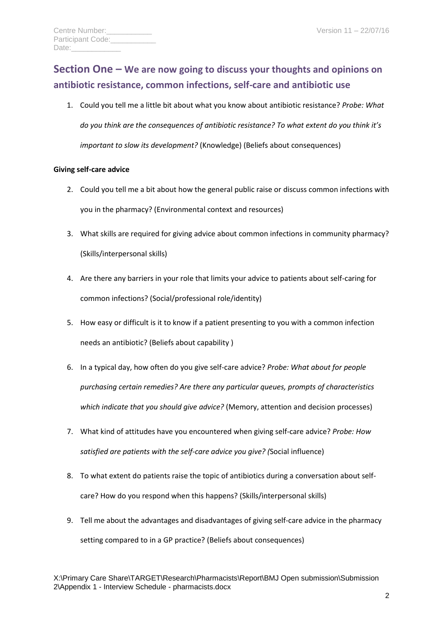# **Section One – We are now going to discuss your thoughts and opinions on antibiotic resistance, common infections, self-care and antibiotic use**

1. Could you tell me a little bit about what you know about antibiotic resistance? *Probe: What do you think are the consequences of antibiotic resistance? To what extent do you think it's important to slow its development?* (Knowledge) (Beliefs about consequences)

#### **Giving self-care advice**

- 2. Could you tell me a bit about how the general public raise or discuss common infections with you in the pharmacy? (Environmental context and resources)
- 3. What skills are required for giving advice about common infections in community pharmacy? (Skills/interpersonal skills)
- 4. Are there any barriers in your role that limits your advice to patients about self-caring for common infections? (Social/professional role/identity)
- 5. How easy or difficult is it to know if a patient presenting to you with a common infection needs an antibiotic? (Beliefs about capability )
- 6. In a typical day, how often do you give self-care advice? *Probe: What about for people purchasing certain remedies? Are there any particular queues, prompts of characteristics which indicate that you should give advice?* (Memory, attention and decision processes)
- 7. What kind of attitudes have you encountered when giving self-care advice? *Probe: How satisfied are patients with the self-care advice you give? (*Social influence)
- 8. To what extent do patients raise the topic of antibiotics during a conversation about selfcare? How do you respond when this happens? (Skills/interpersonal skills)
- 9. Tell me about the advantages and disadvantages of giving self-care advice in the pharmacy setting compared to in a GP practice? (Beliefs about consequences)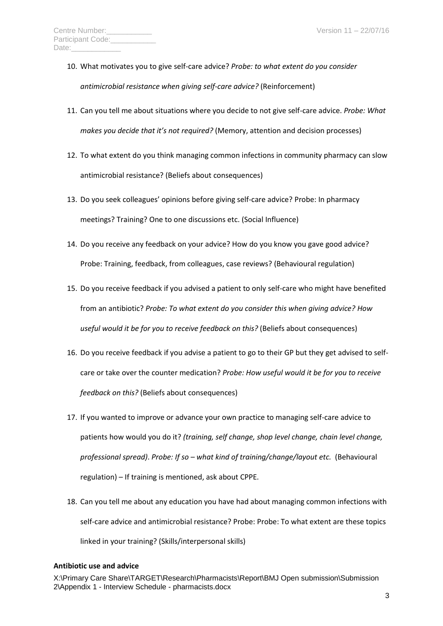- 10. What motivates you to give self-care advice? *Probe: to what extent do you consider antimicrobial resistance when giving self-care advice?* (Reinforcement)
- 11. Can you tell me about situations where you decide to not give self-care advice. *Probe: What makes you decide that it's not required?* (Memory, attention and decision processes)
- 12. To what extent do you think managing common infections in community pharmacy can slow antimicrobial resistance? (Beliefs about consequences)
- 13. Do you seek colleagues' opinions before giving self-care advice? Probe: In pharmacy meetings? Training? One to one discussions etc. (Social Influence)
- 14. Do you receive any feedback on your advice? How do you know you gave good advice? Probe: Training, feedback, from colleagues, case reviews? (Behavioural regulation)
- 15. Do you receive feedback if you advised a patient to only self-care who might have benefited from an antibiotic? *Probe: To what extent do you consider this when giving advice? How useful would it be for you to receive feedback on this?* (Beliefs about consequences)
- 16. Do you receive feedback if you advise a patient to go to their GP but they get advised to selfcare or take over the counter medication? *Probe: How useful would it be for you to receive feedback on this?* (Beliefs about consequences)
- 17. If you wanted to improve or advance your own practice to managing self-care advice to patients how would you do it? *(training, self change, shop level change, chain level change, professional spread)*. *Probe: If so – what kind of training/change/layout etc.* (Behavioural regulation) – If training is mentioned, ask about CPPE.
- 18. Can you tell me about any education you have had about managing common infections with self-care advice and antimicrobial resistance? Probe: Probe: To what extent are these topics linked in your training? (Skills/interpersonal skills)

#### **Antibiotic use and advice**

X:\Primary Care Share\TARGET\Research\Pharmacists\Report\BMJ Open submission\Submission 2\Appendix 1 - Interview Schedule - pharmacists.docx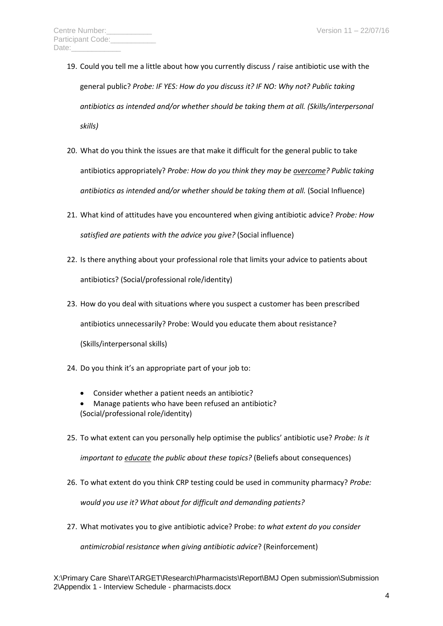- 19. Could you tell me a little about how you currently discuss / raise antibiotic use with the general public? *Probe: IF YES: How do you discuss it? IF NO: Why not? Public taking antibiotics as intended and/or whether should be taking them at all. (Skills/interpersonal skills)*
- 20. What do you think the issues are that make it difficult for the general public to take antibiotics appropriately? *Probe: How do you think they may be overcome? Public taking antibiotics as intended and/or whether should be taking them at all.* (Social Influence)
- 21. What kind of attitudes have you encountered when giving antibiotic advice? *Probe: How satisfied are patients with the advice you give?* (Social influence)
- 22. Is there anything about your professional role that limits your advice to patients about antibiotics? (Social/professional role/identity)
- 23. How do you deal with situations where you suspect a customer has been prescribed antibiotics unnecessarily? Probe: Would you educate them about resistance? (Skills/interpersonal skills)
- 24. Do you think it's an appropriate part of your job to:
	- Consider whether a patient needs an antibiotic?
	- Manage patients who have been refused an antibiotic? (Social/professional role/identity)
- 25. To what extent can you personally help optimise the publics' antibiotic use? *Probe: Is it*

*important to educate the public about these topics?* (Beliefs about consequences)

26. To what extent do you think CRP testing could be used in community pharmacy? *Probe:* 

*would you use it? What about for difficult and demanding patients?*

27. What motivates you to give antibiotic advice? Probe: *to what extent do you consider* 

*antimicrobial resistance when giving antibiotic advice*? (Reinforcement)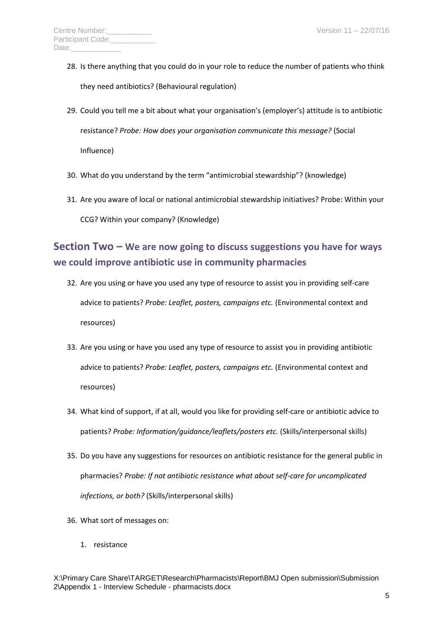- 28. Is there anything that you could do in your role to reduce the number of patients who think they need antibiotics? (Behavioural regulation)
- 29. Could you tell me a bit about what your organisation's (employer's) attitude is to antibiotic resistance? *Probe: How does your organisation communicate this message?* (Social Influence)
- 30. What do you understand by the term "antimicrobial stewardship"? (knowledge)
- 31. Are you aware of local or national antimicrobial stewardship initiatives? Probe: Within your CCG? Within your company? (Knowledge)

## **Section Two – We are now going to discuss suggestions you have for ways we could improve antibiotic use in community pharmacies**

- 32. Are you using or have you used any type of resource to assist you in providing self-care advice to patients? *Probe: Leaflet, posters, campaigns etc.* (Environmental context and resources)
- 33. Are you using or have you used any type of resource to assist you in providing antibiotic advice to patients? *Probe: Leaflet, posters, campaigns etc.* (Environmental context and resources)
- 34. What kind of support, if at all, would you like for providing self-care or antibiotic advice to patients? *Probe: Information/guidance/leaflets/posters etc.* (Skills/interpersonal skills)
- 35. Do you have any suggestions for resources on antibiotic resistance for the general public in pharmacies? *Probe: If not antibiotic resistance what about self-care for uncomplicated infections, or both?* (Skills/interpersonal skills)
- 36. What sort of messages on:
	- 1. resistance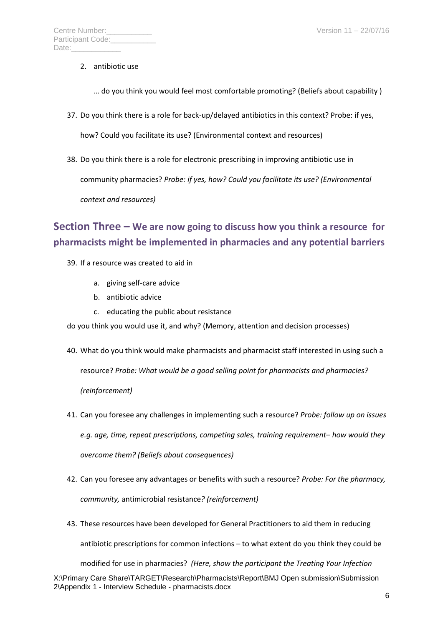- 2. antibiotic use
	- … do you think you would feel most comfortable promoting? (Beliefs about capability )
- 37. Do you think there is a role for back-up/delayed antibiotics in this context? Probe: if yes,

how? Could you facilitate its use? (Environmental context and resources)

38. Do you think there is a role for electronic prescribing in improving antibiotic use in community pharmacies? *Probe: if yes, how? Could you facilitate its use? (Environmental context and resources)*

# **Section Three – We are now going to discuss how you think a resource for pharmacists might be implemented in pharmacies and any potential barriers**

- 39. If a resource was created to aid in
	- a. giving self-care advice
	- b. antibiotic advice
	- c. educating the public about resistance
- do you think you would use it, and why? (Memory, attention and decision processes)
- 40. What do you think would make pharmacists and pharmacist staff interested in using such a resource? *Probe: What would be a good selling point for pharmacists and pharmacies? (reinforcement)*
- 41. Can you foresee any challenges in implementing such a resource? *Probe: follow up on issues e.g. age, time, repeat prescriptions, competing sales, training requirement– how would they overcome them? (Beliefs about consequences)*
- 42. Can you foresee any advantages or benefits with such a resource? *Probe: For the pharmacy, community,* antimicrobial resistance*? (reinforcement)*
- 43. These resources have been developed for General Practitioners to aid them in reducing antibiotic prescriptions for common infections – to what extent do you think they could be

X:\Primary Care Share\TARGET\Research\Pharmacists\Report\BMJ Open submission\Submission 2\Appendix 1 - Interview Schedule - pharmacists.docx modified for use in pharmacies? *(Here, show the participant the Treating Your Infection*